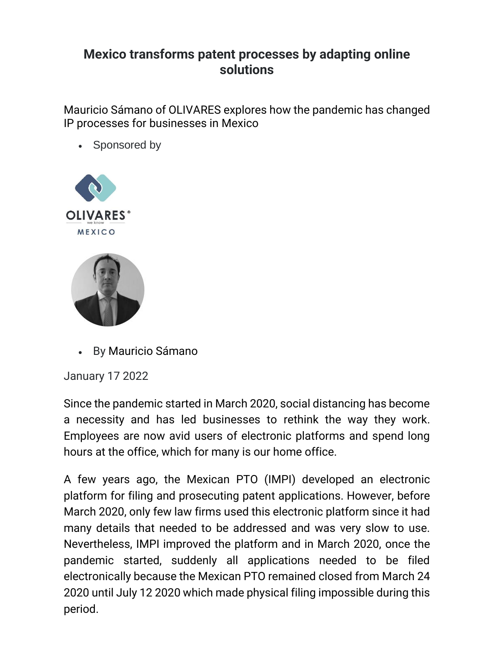## **Mexico transforms patent processes by adapting online solutions**

Mauricio Sámano of OLIVARES explores how the pandemic has changed IP processes for businesses in Mexico

• Sponsored by



• By [Mauricio Sámano](https://www.managingip.com/author?name=Mauricio+S%c3%a1mano)

January 17 2022

Since the pandemic started in March 2020, social distancing has become a necessity and has led businesses to rethink the way they work. Employees are now avid users of electronic platforms and spend long hours at the office, which for many is our home office.

A few years ago, the Mexican PTO (IMPI) developed an electronic platform for filing and prosecuting patent applications. However, before March 2020, only few law firms used this electronic platform since it had many details that needed to be addressed and was very slow to use. Nevertheless, IMPI improved the platform and in March 2020, once the pandemic started, suddenly all applications needed to be filed electronically because the Mexican PTO remained closed from March 24 2020 until July 12 2020 which made physical filing impossible during this period.